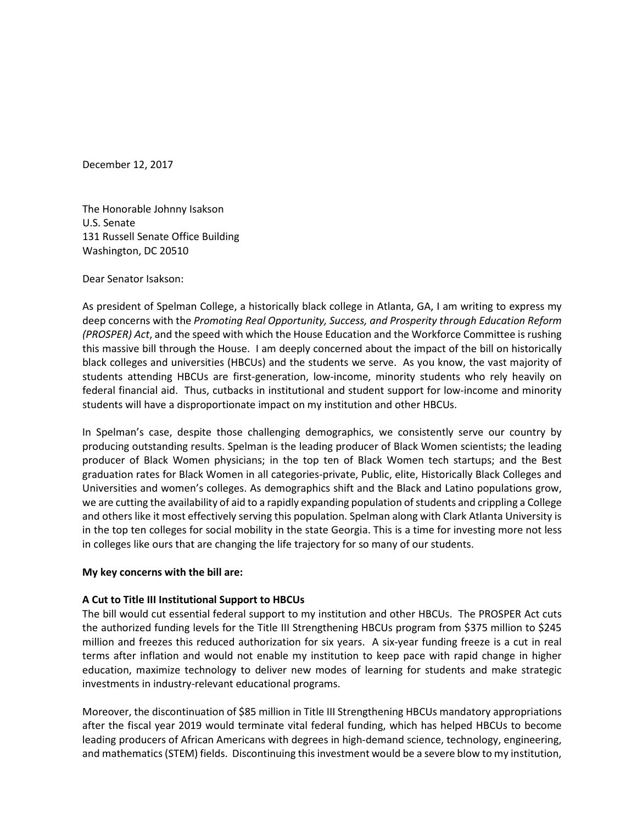December 12, 2017

The Honorable Johnny Isakson U.S. Senate 131 Russell Senate Office Building Washington, DC 20510

Dear Senator Isakson:

As president of Spelman College, a historically black college in Atlanta, GA, I am writing to express my deep concerns with the *Promoting Real Opportunity, Success, and Prosperity through Education Reform (PROSPER) Act*, and the speed with which the House Education and the Workforce Committee is rushing this massive bill through the House. I am deeply concerned about the impact of the bill on historically black colleges and universities (HBCUs) and the students we serve. As you know, the vast majority of students attending HBCUs are first-generation, low-income, minority students who rely heavily on federal financial aid. Thus, cutbacks in institutional and student support for low-income and minority students will have a disproportionate impact on my institution and other HBCUs.

In Spelman's case, despite those challenging demographics, we consistently serve our country by producing outstanding results. Spelman is the leading producer of Black Women scientists; the leading producer of Black Women physicians; in the top ten of Black Women tech startups; and the Best graduation rates for Black Women in all categories-private, Public, elite, Historically Black Colleges and Universities and women's colleges. As demographics shift and the Black and Latino populations grow, we are cutting the availability of aid to a rapidly expanding population of students and crippling a College and others like it most effectively serving this population. Spelman along with Clark Atlanta University is in the top ten colleges for social mobility in the state Georgia. This is a time for investing more not less in colleges like ours that are changing the life trajectory for so many of our students.

# **My key concerns with the bill are:**

# **A Cut to Title III Institutional Support to HBCUs**

The bill would cut essential federal support to my institution and other HBCUs. The PROSPER Act cuts the authorized funding levels for the Title III Strengthening HBCUs program from \$375 million to \$245 million and freezes this reduced authorization for six years. A six-year funding freeze is a cut in real terms after inflation and would not enable my institution to keep pace with rapid change in higher education, maximize technology to deliver new modes of learning for students and make strategic investments in industry-relevant educational programs.

Moreover, the discontinuation of \$85 million in Title III Strengthening HBCUs mandatory appropriations after the fiscal year 2019 would terminate vital federal funding, which has helped HBCUs to become leading producers of African Americans with degrees in high-demand science, technology, engineering, and mathematics (STEM) fields. Discontinuing this investment would be a severe blow to my institution,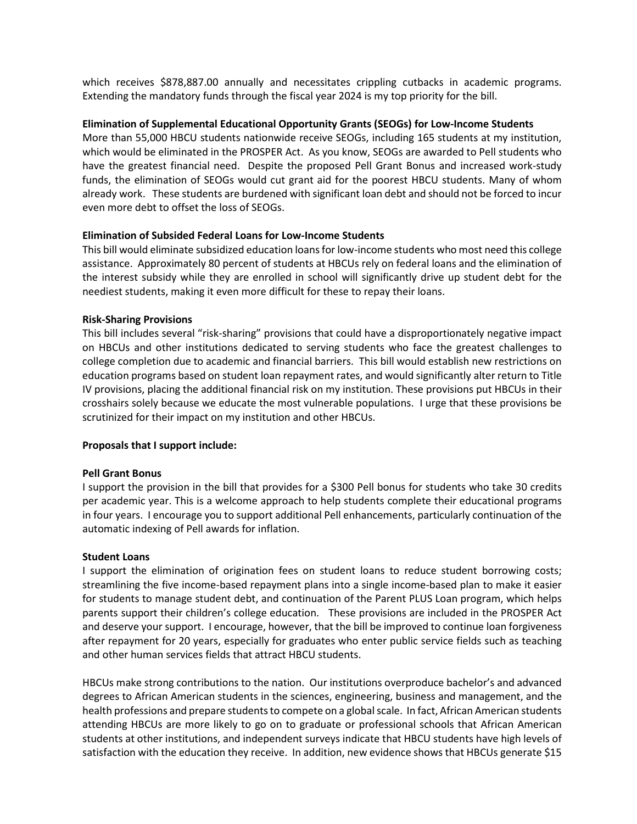which receives \$878,887.00 annually and necessitates crippling cutbacks in academic programs. Extending the mandatory funds through the fiscal year 2024 is my top priority for the bill.

## **Elimination of Supplemental Educational Opportunity Grants (SEOGs) for Low-Income Students**

More than 55,000 HBCU students nationwide receive SEOGs, including 165 students at my institution, which would be eliminated in the PROSPER Act. As you know, SEOGs are awarded to Pell students who have the greatest financial need. Despite the proposed Pell Grant Bonus and increased work-study funds, the elimination of SEOGs would cut grant aid for the poorest HBCU students. Many of whom already work. These students are burdened with significant loan debt and should not be forced to incur even more debt to offset the loss of SEOGs.

# **Elimination of Subsided Federal Loans for Low-Income Students**

This bill would eliminate subsidized education loans for low-income students who most need this college assistance. Approximately 80 percent of students at HBCUs rely on federal loans and the elimination of the interest subsidy while they are enrolled in school will significantly drive up student debt for the neediest students, making it even more difficult for these to repay their loans.

## **Risk-Sharing Provisions**

This bill includes several "risk-sharing" provisions that could have a disproportionately negative impact on HBCUs and other institutions dedicated to serving students who face the greatest challenges to college completion due to academic and financial barriers. This bill would establish new restrictions on education programs based on student loan repayment rates, and would significantly alter return to Title IV provisions, placing the additional financial risk on my institution. These provisions put HBCUs in their crosshairs solely because we educate the most vulnerable populations. I urge that these provisions be scrutinized for their impact on my institution and other HBCUs.

## **Proposals that I support include:**

## **Pell Grant Bonus**

I support the provision in the bill that provides for a \$300 Pell bonus for students who take 30 credits per academic year. This is a welcome approach to help students complete their educational programs in four years. I encourage you to support additional Pell enhancements, particularly continuation of the automatic indexing of Pell awards for inflation.

# **Student Loans**

I support the elimination of origination fees on student loans to reduce student borrowing costs; streamlining the five income-based repayment plans into a single income-based plan to make it easier for students to manage student debt, and continuation of the Parent PLUS Loan program, which helps parents support their children's college education. These provisions are included in the PROSPER Act and deserve your support. I encourage, however, that the bill be improved to continue loan forgiveness after repayment for 20 years, especially for graduates who enter public service fields such as teaching and other human services fields that attract HBCU students.

HBCUs make strong contributions to the nation. Our institutions overproduce bachelor's and advanced degrees to African American students in the sciences, engineering, business and management, and the health professions and prepare students to compete on a global scale. In fact, African American students attending HBCUs are more likely to go on to graduate or professional schools that African American students at other institutions, and independent surveys indicate that HBCU students have high levels of satisfaction with the education they receive. In addition, new evidence shows that HBCUs generate \$15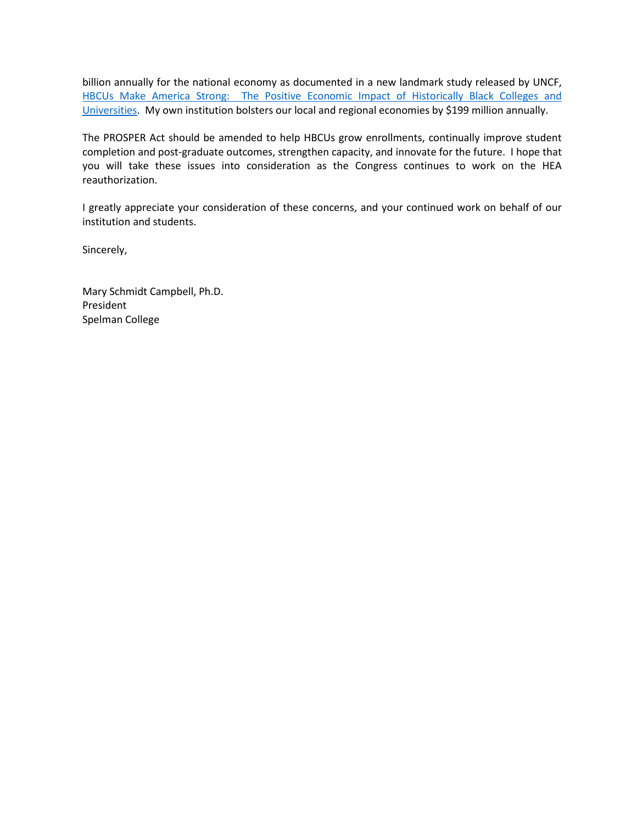billion annually for the national economy as documented in a new landmark study released by UNCF, [HBCUs Make America Strong: The Positive Economic Impact of Historically Black Colleges and](https://uncf.org/blog/entry/uncf-releases-hbcu-economic-impact-report)  [Universities.](https://uncf.org/blog/entry/uncf-releases-hbcu-economic-impact-report) My own institution bolsters our local and regional economies by \$199 million annually.

The PROSPER Act should be amended to help HBCUs grow enrollments, continually improve student completion and post-graduate outcomes, strengthen capacity, and innovate for the future. I hope that you will take these issues into consideration as the Congress continues to work on the HEA reauthorization.

I greatly appreciate your consideration of these concerns, and your continued work on behalf of our institution and students.

Sincerely,

Mary Schmidt Campbell, Ph.D. President Spelman College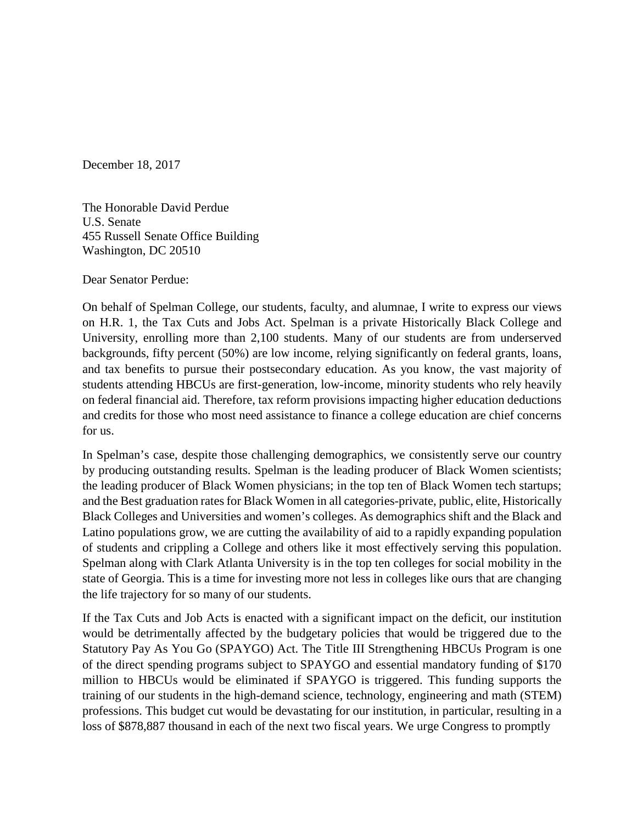December 18, 2017

The Honorable David Perdue U.S. Senate 455 Russell Senate Office Building Washington, DC 20510

Dear Senator Perdue:

On behalf of Spelman College, our students, faculty, and alumnae, I write to express our views on H.R. 1, the Tax Cuts and Jobs Act. Spelman is a private Historically Black College and University, enrolling more than 2,100 students. Many of our students are from underserved backgrounds, fifty percent (50%) are low income, relying significantly on federal grants, loans, and tax benefits to pursue their postsecondary education. As you know, the vast majority of students attending HBCUs are first-generation, low-income, minority students who rely heavily on federal financial aid. Therefore, tax reform provisions impacting higher education deductions and credits for those who most need assistance to finance a college education are chief concerns for us.

In Spelman's case, despite those challenging demographics, we consistently serve our country by producing outstanding results. Spelman is the leading producer of Black Women scientists; the leading producer of Black Women physicians; in the top ten of Black Women tech startups; and the Best graduation rates for Black Women in all categories-private, public, elite, Historically Black Colleges and Universities and women's colleges. As demographics shift and the Black and Latino populations grow, we are cutting the availability of aid to a rapidly expanding population of students and crippling a College and others like it most effectively serving this population. Spelman along with Clark Atlanta University is in the top ten colleges for social mobility in the state of Georgia. This is a time for investing more not less in colleges like ours that are changing the life trajectory for so many of our students.

If the Tax Cuts and Job Acts is enacted with a significant impact on the deficit, our institution would be detrimentally affected by the budgetary policies that would be triggered due to the Statutory Pay As You Go (SPAYGO) Act. The Title III Strengthening HBCUs Program is one of the direct spending programs subject to SPAYGO and essential mandatory funding of \$170 million to HBCUs would be eliminated if SPAYGO is triggered. This funding supports the training of our students in the high-demand science, technology, engineering and math (STEM) professions. This budget cut would be devastating for our institution, in particular, resulting in a loss of \$878,887 thousand in each of the next two fiscal years. We urge Congress to promptly